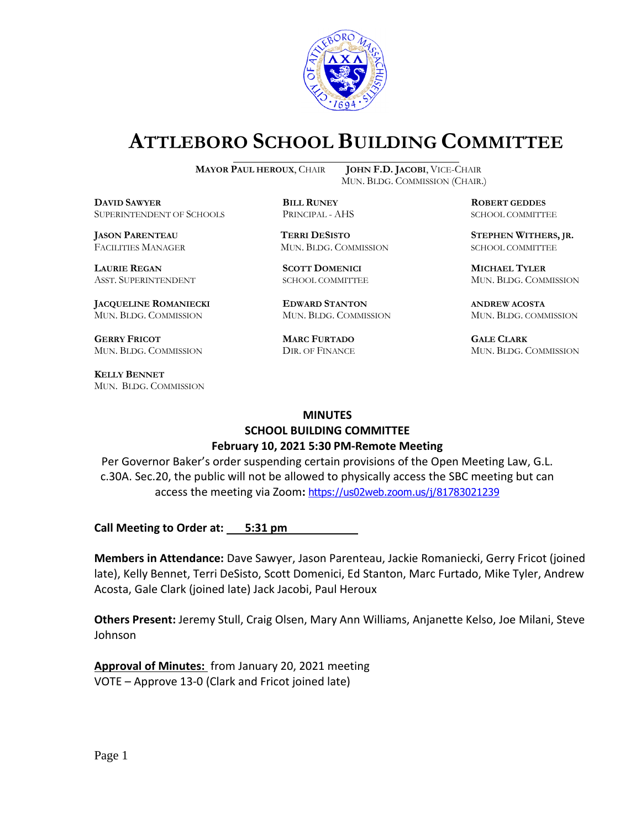

# **ATTLEBORO SCHOOL BUILDING COMMITTEE**

**DDAWYER BILL RUNEY ROBERT GEDDES** SUPERINTENDENT OF SCHOOLS PRINCIPAL - AHS SCHOOL COMMITTEE

**LAURIE REGAN SCOTT DOMENICI MICHAEL TYLER**

**JACQUELINE ROMANIECKI EDWARD STANTON ANDREW ACOSTA** MUN. BLDG. COMMISSION MUN. BLDG. COMMISSION MUN. BLDG. COMMISSION

**GERRY FRICOT MARC FURTADO GALE CLARK** MUN. BLDG. COMMISSION DIR. OF FINANCE MUN. BLDG. COMMISSION

**KELLY BENNET** MUN. BLDG. COMMISSION

**MAYOR PAUL HEROUX**, CHAIR **JOHN F.D. JACOBI**, VICE-CHAIR MUN. BLDG. COMMISSION (CHAIR.)

FACILITIES MANAGER MUN. BLDG. COMMISSION SCHOOL COMMITTEE

**JASON PARENTEAU TERRI DESISTO STEPHEN WITHERS, JR.**

ASST. SUPERINTENDENT SCHOOL COMMITTEE MUN. BLDG. COMMISSION

#### **MINUTES**

# **SCHOOL BUILDING COMMITTEE February 10, 2021 5:30 PM-Remote Meeting**

Per Governor Baker's order suspending certain provisions of the Open Meeting Law, G.L. c.30A. Sec.20, the public will not be allowed to physically access the SBC meeting but can access the meeting via Zoom**:** <https://us02web.zoom.us/j/81783021239>

**Call Meeting to Order at: 5:31 pm** 

**Members in Attendance:** Dave Sawyer, Jason Parenteau, Jackie Romaniecki, Gerry Fricot (joined late), Kelly Bennet, Terri DeSisto, Scott Domenici, Ed Stanton, Marc Furtado, Mike Tyler, Andrew Acosta, Gale Clark (joined late) Jack Jacobi, Paul Heroux

**Others Present:** Jeremy Stull, Craig Olsen, Mary Ann Williams, Anjanette Kelso, Joe Milani, Steve Johnson

**Approval of Minutes:** from January 20, 2021 meeting VOTE – Approve 13-0 (Clark and Fricot joined late)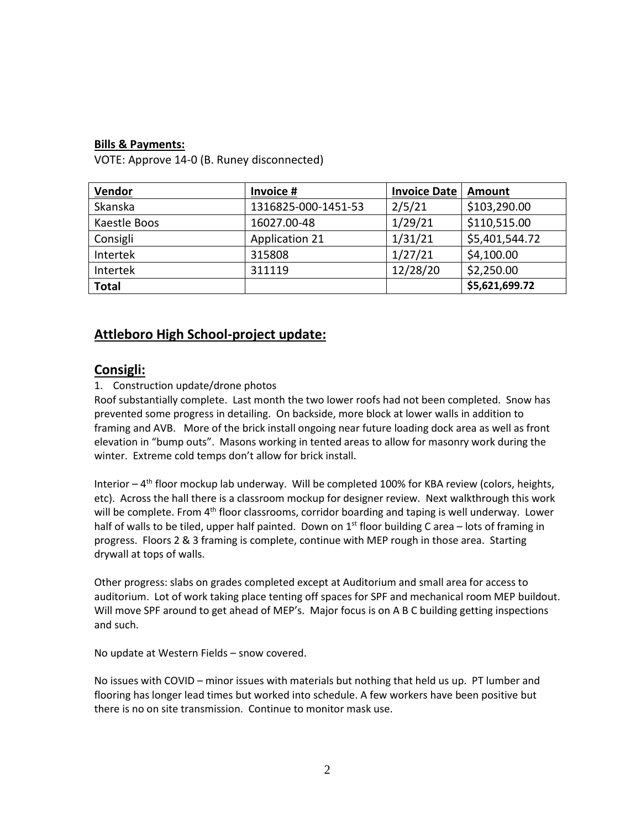## **Bills & Payments:**

VOTE: Approve 14-0 (B. Runey disconnected)

| <b>Vendor</b> | Invoice #             | <b>Invoice Date</b> | Amount         |
|---------------|-----------------------|---------------------|----------------|
| Skanska       | 1316825-000-1451-53   | 2/5/21              | \$103,290.00   |
| Kaestle Boos  | 16027.00-48           | 1/29/21             | \$110,515.00   |
| Consigli      | <b>Application 21</b> | 1/31/21             | \$5,401,544.72 |
| Intertek      | 315808                | 1/27/21             | \$4,100.00     |
| Intertek      | 311119                | 12/28/20            | \$2,250.00     |
| <b>Total</b>  |                       |                     | \$5,621,699.72 |

## **Attleboro High School-project update:**

## **Consigli:**

## 1. Construction update/drone photos

Roof substantially complete. Last month the two lower roofs had not been completed. Snow has prevented some progress in detailing. On backside, more block at lower walls in addition to framing and AVB. More of the brick install ongoing near future loading dock area as well as front elevation in "bump outs". Masons working in tented areas to allow for masonry work during the winter. Extreme cold temps don't allow for brick install.

Interior - 4<sup>th</sup> floor mockup lab underway. Will be completed 100% for KBA review (colors, heights, etc). Across the hall there is a classroom mockup for designer review. Next walkthrough this work will be complete. From 4<sup>th</sup> floor classrooms, corridor boarding and taping is well underway. Lower half of walls to be tiled, upper half painted. Down on  $1<sup>st</sup>$  floor building C area – lots of framing in progress. Floors 2 & 3 framing is complete, continue with MEP rough in those area. Starting drywall at tops of walls.

Other progress: slabs on grades completed except at Auditorium and small area for access to auditorium. Lot of work taking place tenting off spaces for SPF and mechanical room MEP buildout. Will move SPF around to get ahead of MEP's. Major focus is on A B C building getting inspections and such.

No update at Western Fields – snow covered.

No issues with COVID – minor issues with materials but nothing that held us up. PT lumber and flooring has longer lead times but worked into schedule. A few workers have been positive but there is no on site transmission. Continue to monitor mask use.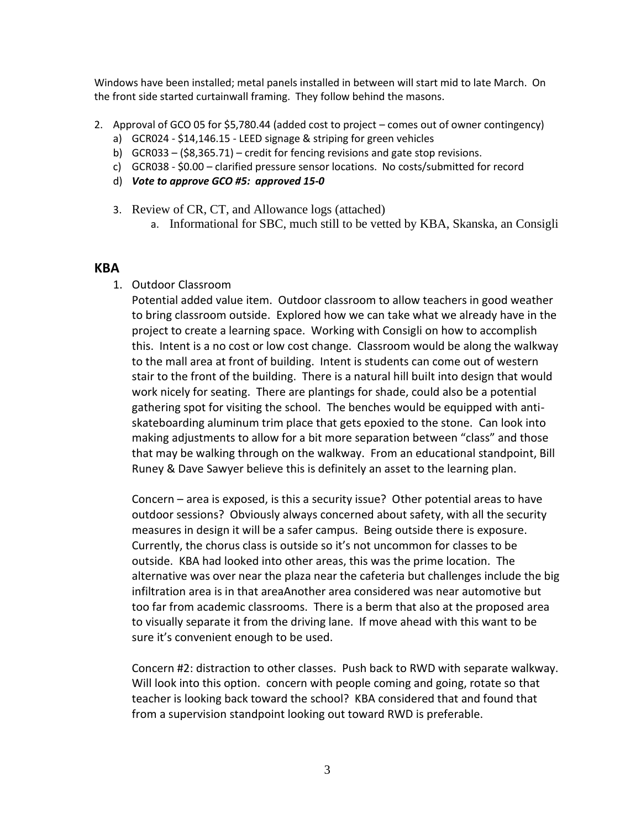Windows have been installed; metal panels installed in between will start mid to late March. On the front side started curtainwall framing. They follow behind the masons.

- 2. Approval of GCO 05 for \$5,780.44 (added cost to project comes out of owner contingency)
	- a) GCR024 \$14,146.15 LEED signage & striping for green vehicles
	- b) GCR033 (\$8,365.71) credit for fencing revisions and gate stop revisions.
	- c) GCR038 \$0.00 clarified pressure sensor locations. No costs/submitted for record
	- d) *Vote to approve GCO #5: approved 15-0*
	- 3. Review of CR, CT, and Allowance logs (attached)
		- a. Informational for SBC, much still to be vetted by KBA, Skanska, an Consigli

#### **KBA**

1. Outdoor Classroom

Potential added value item. Outdoor classroom to allow teachers in good weather to bring classroom outside. Explored how we can take what we already have in the project to create a learning space. Working with Consigli on how to accomplish this. Intent is a no cost or low cost change. Classroom would be along the walkway to the mall area at front of building. Intent is students can come out of western stair to the front of the building. There is a natural hill built into design that would work nicely for seating. There are plantings for shade, could also be a potential gathering spot for visiting the school. The benches would be equipped with antiskateboarding aluminum trim place that gets epoxied to the stone. Can look into making adjustments to allow for a bit more separation between "class" and those that may be walking through on the walkway. From an educational standpoint, Bill Runey & Dave Sawyer believe this is definitely an asset to the learning plan.

Concern – area is exposed, is this a security issue? Other potential areas to have outdoor sessions? Obviously always concerned about safety, with all the security measures in design it will be a safer campus. Being outside there is exposure. Currently, the chorus class is outside so it's not uncommon for classes to be outside. KBA had looked into other areas, this was the prime location. The alternative was over near the plaza near the cafeteria but challenges include the big infiltration area is in that areaAnother area considered was near automotive but too far from academic classrooms. There is a berm that also at the proposed area to visually separate it from the driving lane. If move ahead with this want to be sure it's convenient enough to be used.

Concern #2: distraction to other classes. Push back to RWD with separate walkway. Will look into this option. concern with people coming and going, rotate so that teacher is looking back toward the school? KBA considered that and found that from a supervision standpoint looking out toward RWD is preferable.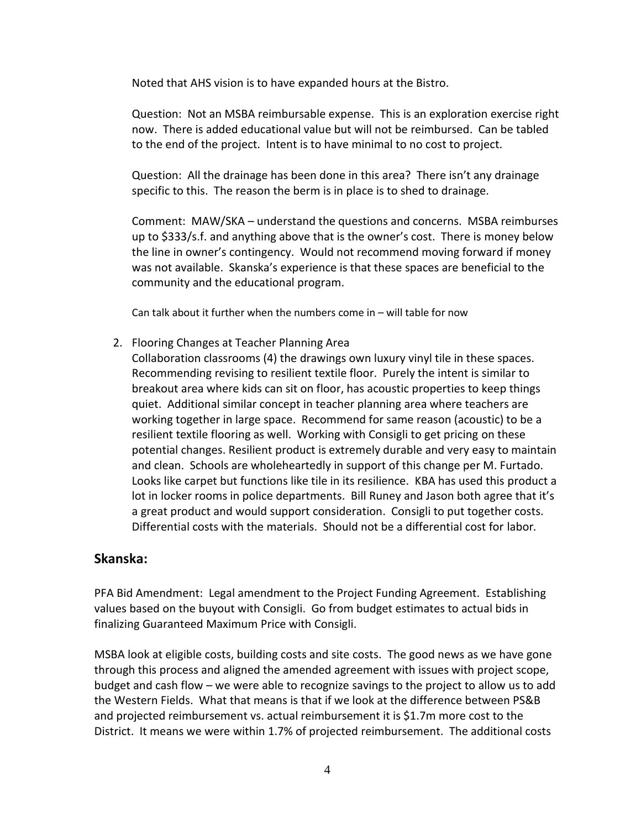Noted that AHS vision is to have expanded hours at the Bistro.

Question: Not an MSBA reimbursable expense. This is an exploration exercise right now. There is added educational value but will not be reimbursed. Can be tabled to the end of the project. Intent is to have minimal to no cost to project.

Question: All the drainage has been done in this area? There isn't any drainage specific to this. The reason the berm is in place is to shed to drainage.

Comment: MAW/SKA – understand the questions and concerns. MSBA reimburses up to \$333/s.f. and anything above that is the owner's cost. There is money below the line in owner's contingency. Would not recommend moving forward if money was not available. Skanska's experience is that these spaces are beneficial to the community and the educational program.

Can talk about it further when the numbers come in – will table for now

2. Flooring Changes at Teacher Planning Area

Collaboration classrooms (4) the drawings own luxury vinyl tile in these spaces. Recommending revising to resilient textile floor. Purely the intent is similar to breakout area where kids can sit on floor, has acoustic properties to keep things quiet. Additional similar concept in teacher planning area where teachers are working together in large space. Recommend for same reason (acoustic) to be a resilient textile flooring as well. Working with Consigli to get pricing on these potential changes. Resilient product is extremely durable and very easy to maintain and clean. Schools are wholeheartedly in support of this change per M. Furtado. Looks like carpet but functions like tile in its resilience. KBA has used this product a lot in locker rooms in police departments. Bill Runey and Jason both agree that it's a great product and would support consideration. Consigli to put together costs. Differential costs with the materials. Should not be a differential cost for labor*.*

## **Skanska:**

PFA Bid Amendment: Legal amendment to the Project Funding Agreement. Establishing values based on the buyout with Consigli. Go from budget estimates to actual bids in finalizing Guaranteed Maximum Price with Consigli.

MSBA look at eligible costs, building costs and site costs. The good news as we have gone through this process and aligned the amended agreement with issues with project scope, budget and cash flow – we were able to recognize savings to the project to allow us to add the Western Fields. What that means is that if we look at the difference between PS&B and projected reimbursement vs. actual reimbursement it is \$1.7m more cost to the District. It means we were within 1.7% of projected reimbursement. The additional costs